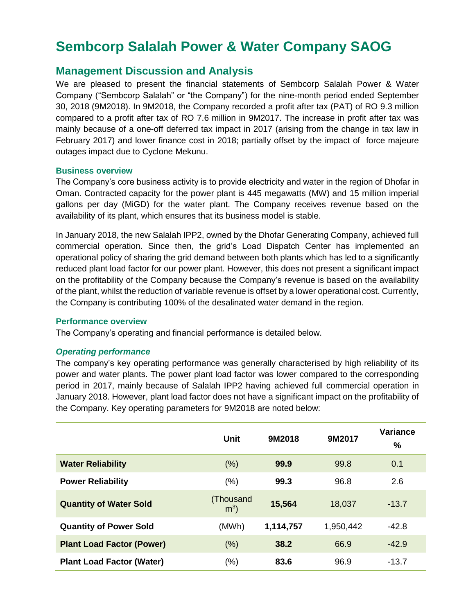# **Sembcorp Salalah Power & Water Company SAOG**

# **Management Discussion and Analysis**

We are pleased to present the financial statements of Sembcorp Salalah Power & Water Company ("Sembcorp Salalah" or "the Company") for the nine-month period ended September 30, 2018 (9M2018). In 9M2018, the Company recorded a profit after tax (PAT) of RO 9.3 million compared to a profit after tax of RO 7.6 million in 9M2017. The increase in profit after tax was mainly because of a one-off deferred tax impact in 2017 (arising from the change in tax law in February 2017) and lower finance cost in 2018; partially offset by the impact of force majeure outages impact due to Cyclone Mekunu.

#### **Business overview**

The Company's core business activity is to provide electricity and water in the region of Dhofar in Oman. Contracted capacity for the power plant is 445 megawatts (MW) and 15 million imperial gallons per day (MiGD) for the water plant. The Company receives revenue based on the availability of its plant, which ensures that its business model is stable.

In January 2018, the new Salalah IPP2, owned by the Dhofar Generating Company, achieved full commercial operation. Since then, the grid's Load Dispatch Center has implemented an operational policy of sharing the grid demand between both plants which has led to a significantly reduced plant load factor for our power plant. However, this does not present a significant impact on the profitability of the Company because the Company's revenue is based on the availability of the plant, whilst the reduction of variable revenue is offset by a lower operational cost. Currently, the Company is contributing 100% of the desalinated water demand in the region.

#### **Performance overview**

The Company's operating and financial performance is detailed below.

### *Operating performance*

The company's key operating performance was generally characterised by high reliability of its power and water plants. The power plant load factor was lower compared to the corresponding period in 2017, mainly because of Salalah IPP2 having achieved full commercial operation in January 2018. However, plant load factor does not have a significant impact on the profitability of the Company. Key operating parameters for 9M2018 are noted below:

|                                  | Unit                        | 9M2018    | 9M2017    | Variance<br>$\%$ |
|----------------------------------|-----------------------------|-----------|-----------|------------------|
| <b>Water Reliability</b>         | (% )                        | 99.9      | 99.8      | 0.1              |
| <b>Power Reliability</b>         | (%)                         | 99.3      | 96.8      | 2.6              |
| <b>Quantity of Water Sold</b>    | (Thousand<br>m <sup>3</sup> | 15,564    | 18,037    | $-13.7$          |
| <b>Quantity of Power Sold</b>    | (MWh)                       | 1,114,757 | 1,950,442 | $-42.8$          |
| <b>Plant Load Factor (Power)</b> | (% )                        | 38.2      | 66.9      | $-42.9$          |
| <b>Plant Load Factor (Water)</b> | $(\% )$                     | 83.6      | 96.9      | $-13.7$          |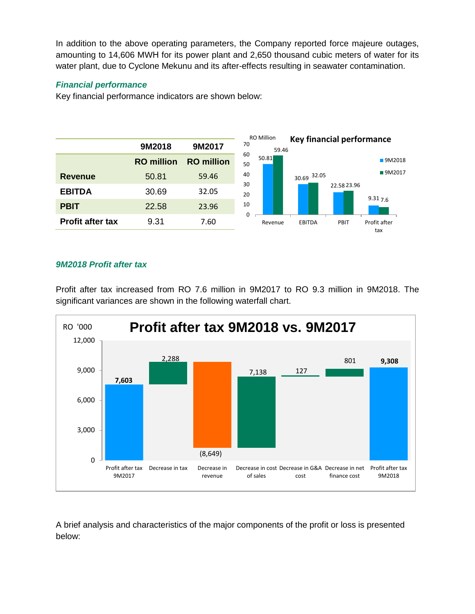In addition to the above operating parameters, the Company reported force majeure outages, amounting to 14,606 MWH for its power plant and 2,650 thousand cubic meters of water for its water plant, due to Cyclone Mekunu and its after-effects resulting in seawater contamination.

## *Financial performance*

Key financial performance indicators are shown below:



## *9M2018 Profit after tax*

Profit after tax increased from RO 7.6 million in 9M2017 to RO 9.3 million in 9M2018. The significant variances are shown in the following waterfall chart.



A brief analysis and characteristics of the major components of the profit or loss is presented below: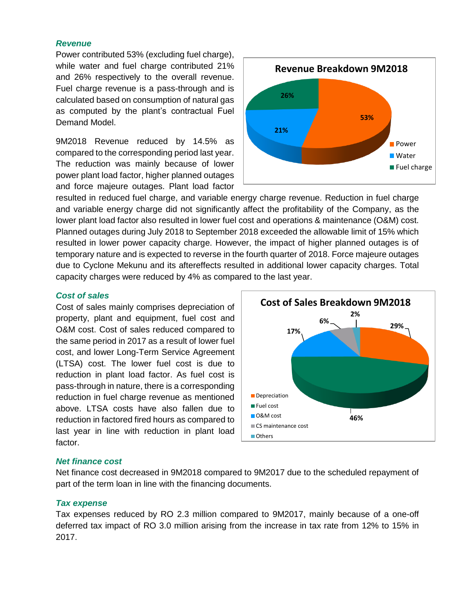#### *Revenue*

Power contributed 53% (excluding fuel charge), while water and fuel charge contributed 21% and 26% respectively to the overall revenue. Fuel charge revenue is a pass-through and is calculated based on consumption of natural gas as computed by the plant's contractual Fuel Demand Model.

9M2018 Revenue reduced by 14.5% as compared to the corresponding period last year. The reduction was mainly because of lower power plant load factor, higher planned outages and force majeure outages. Plant load factor



resulted in reduced fuel charge, and variable energy charge revenue. Reduction in fuel charge and variable energy charge did not significantly affect the profitability of the Company, as the lower plant load factor also resulted in lower fuel cost and operations & maintenance (O&M) cost. Planned outages during July 2018 to September 2018 exceeded the allowable limit of 15% which resulted in lower power capacity charge. However, the impact of higher planned outages is of temporary nature and is expected to reverse in the fourth quarter of 2018. Force majeure outages due to Cyclone Mekunu and its aftereffects resulted in additional lower capacity charges. Total capacity charges were reduced by 4% as compared to the last year.

#### *Cost of sales*

Cost of sales mainly comprises depreciation of property, plant and equipment, fuel cost and O&M cost. Cost of sales reduced compared to the same period in 2017 as a result of lower fuel cost, and lower Long-Term Service Agreement (LTSA) cost. The lower fuel cost is due to reduction in plant load factor. As fuel cost is pass-through in nature, there is a corresponding reduction in fuel charge revenue as mentioned above. LTSA costs have also fallen due to reduction in factored fired hours as compared to last year in line with reduction in plant load factor.



#### *Net finance cost*

Net finance cost decreased in 9M2018 compared to 9M2017 due to the scheduled repayment of part of the term loan in line with the financing documents.

#### *Tax expense*

Tax expenses reduced by RO 2.3 million compared to 9M2017, mainly because of a one-off deferred tax impact of RO 3.0 million arising from the increase in tax rate from 12% to 15% in 2017.